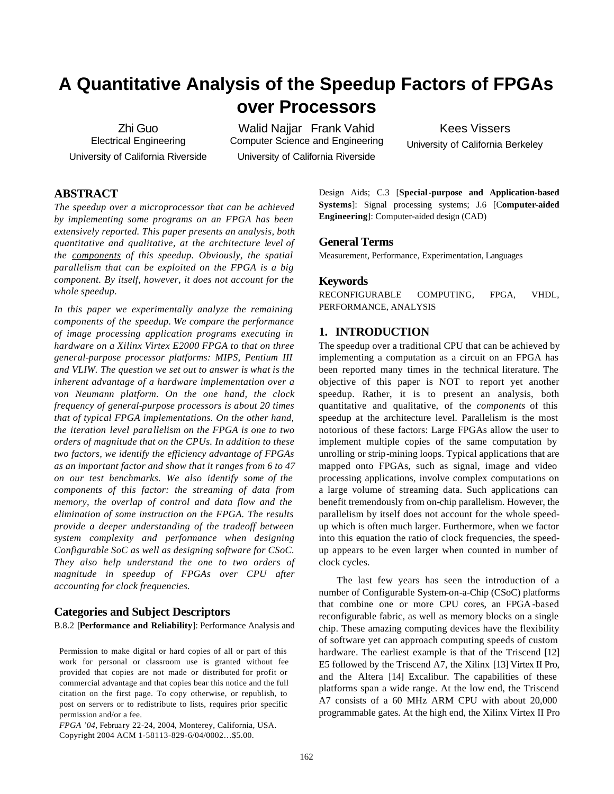# **A Quantitative Analysis of the Speedup Factors of FPGAs over Processors**

Zhi Guo Electrical Engineering University of California Riverside

Walid Najjar Frank Vahid Computer Science and Engineering University of California Riverside

Kees Vissers University of California Berkeley

# **ABSTRACT**

*The speedup over a microprocessor that can be achieved by implementing some programs on an FPGA has been extensively reported. This paper presents an analysis, both quantitative and qualitative, at the architecture level of the components of this speedup. Obviously, the spatial parallelism that can be exploited on the FPGA is a big component. By itself, however, it does not account for the whole speedup.* 

*In this paper we experimentally analyze the remaining components of the speedup. We compare the performance of image processing application programs executing in hardware on a Xilinx Virtex E2000 FPGA to that on three general-purpose processor platforms: MIPS, Pentium III and VLIW. The question we set out to answer is what is the inherent advantage of a hardware implementation over a von Neumann platform. On the one hand, the clock frequency of general-purpose processors is about 20 times that of typical FPGA implementations. On the other hand, the iteration level parallelism on the FPGA is one to two orders of magnitude that on the CPUs. In addition to these two factors, we identify the efficiency advantage of FPGAs as an important factor and show that it ranges from 6 to 47 on our test benchmarks. We also identify some of the components of this factor: the streaming of data from memory, the overlap of control and data flow and the elimination of some instruction on the FPGA. The results provide a deeper understanding of the tradeoff between system complexity and performance when designing Configurable SoC as well as designing software for CSoC. They also help understand the one to two orders of magnitude in speedup of FPGAs over CPU after accounting for clock frequencies.*

# **Categories and Subject Descriptors**

B.8.2 [**Performance and Reliability**]: Performance Analysis and

Permission to make digital or hard copies of all or part of this work for personal or classroom use is granted without fee provided that copies are not made or distributed for profit or commercial advantage and that copies bear this notice and the full citation on the first page. To copy otherwise, or republish, to post on servers or to redistribute to lists, requires prior specific permission and/or a fee.

*FPGA '04*, February 22-24, 2004, Monterey, California, USA. Copyright 2004 ACM 1-58113-829-6/04/0002…\$5.00.

Design Aids; C.3 [**Special-purpose and Application-based Systems**]: Signal processing systems; J.6 [C**omputer-aided Engineering**]: Computer-aided design (CAD)

# **General Terms**

Measurement, Performance, Experimentation, Languages

#### **Keywords**

RECONFIGURABLE COMPUTING, FPGA, VHDL, PERFORMANCE, ANALYSIS

# **1. INTRODUCTION**

The speedup over a traditional CPU that can be achieved by implementing a computation as a circuit on an FPGA has been reported many times in the technical literature. The objective of this paper is NOT to report yet another speedup. Rather, it is to present an analysis, both quantitative and qualitative, of the *components* of this speedup at the architecture level. Parallelism is the most notorious of these factors: Large FPGAs allow the user to implement multiple copies of the same computation by unrolling or strip-mining loops. Typical applications that are mapped onto FPGAs, such as signal, image and video processing applications, involve complex computations on a large volume of streaming data. Such applications can benefit tremendously from on-chip parallelism. However, the parallelism by itself does not account for the whole speedup which is often much larger. Furthermore, when we factor into this equation the ratio of clock frequencies, the speedup appears to be even larger when counted in number of clock cycles.

The last few years has seen the introduction of a number of Configurable System-on-a-Chip (CSoC) platforms that combine one or more CPU cores, an FPGA -based reconfigurable fabric, as well as memory blocks on a single chip. These amazing computing devices have the flexibility of software yet can approach computing speeds of custom hardware. The earliest example is that of the Triscend [12] E5 followed by the Triscend A7, the Xilinx [13] Virtex II Pro, and the Altera [14] Excalibur. The capabilities of these platforms span a wide range. At the low end, the Triscend A7 consists of a 60 MHz ARM CPU with about 20,000 programmable gates. At the high end, the Xilinx Virtex II Pro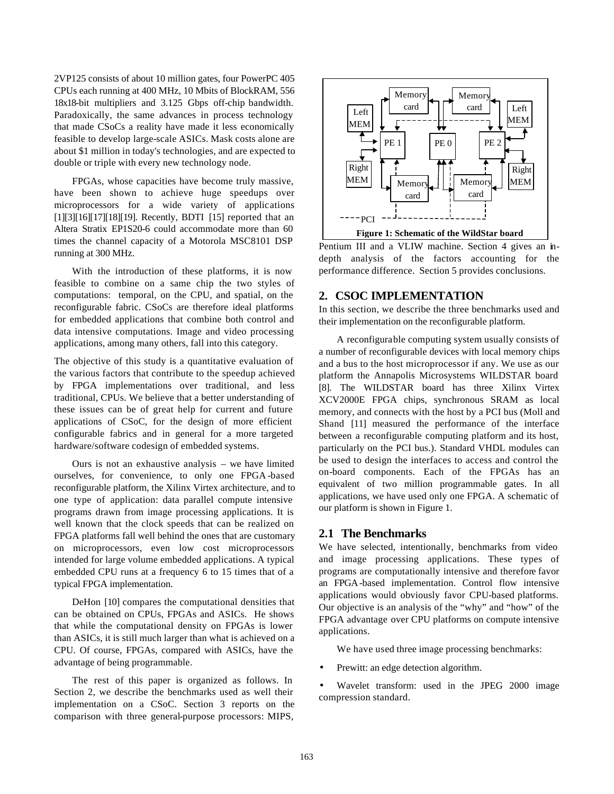2VP125 consists of about 10 million gates, four PowerPC 405 CPUs each running at 400 MHz, 10 Mbits of BlockRAM, 556 18x18-bit multipliers and 3.125 Gbps off-chip bandwidth. Paradoxically, the same advances in process technology that made CSoCs a reality have made it less economically feasible to develop large-scale ASICs. Mask costs alone are about \$1 million in today's technologies, and are expected to double or triple with every new technology node.

FPGAs, whose capacities have become truly massive, have been shown to achieve huge speedups over microprocessors for a wide variety of applications [1][3][16][17][18][19]. Recently, BDTI [15] reported that an Altera Stratix EP1S20-6 could accommodate more than 60 times the channel capacity of a Motorola MSC8101 DSP running at 300 MHz.

With the introduction of these platforms, it is now feasible to combine on a same chip the two styles of computations: temporal, on the CPU, and spatial, on the reconfigurable fabric. CSoCs are therefore ideal platforms for embedded applications that combine both control and data intensive computations. Image and video processing applications, among many others, fall into this category.

The objective of this study is a quantitative evaluation of the various factors that contribute to the speedup achieved by FPGA implementations over traditional, and less traditional, CPUs. We believe that a better understanding of these issues can be of great help for current and future applications of CSoC, for the design of more efficient configurable fabrics and in general for a more targeted hardware/software codesign of embedded systems.

Ours is not an exhaustive analysis – we have limited ourselves, for convenience, to only one FPGA -based reconfigurable platform, the Xilinx Virtex architecture, and to one type of application: data parallel compute intensive programs drawn from image processing applications. It is well known that the clock speeds that can be realized on FPGA platforms fall well behind the ones that are customary on microprocessors, even low cost microprocessors intended for large volume embedded applications. A typical embedded CPU runs at a frequency 6 to 15 times that of a typical FPGA implementation.

DeHon [10] compares the computational densities that can be obtained on CPUs, FPGAs and ASICs. He shows that while the computational density on FPGAs is lower than ASICs, it is still much larger than what is achieved on a CPU. Of course, FPGAs, compared with ASICs, have the advantage of being programmable.

The rest of this paper is organized as follows. In Section 2, we describe the benchmarks used as well their implementation on a CSoC. Section 3 reports on the comparison with three general-purpose processors: MIPS,



Pentium III and a VLIW machine. Section 4 gives an indepth analysis of the factors accounting for the performance difference. Section 5 provides conclusions.

# **2. CSOC IMPLEMENTATION**

In this section, we describe the three benchmarks used and their implementation on the reconfigurable platform.

A reconfigurable computing system usually consists of a number of reconfigurable devices with local memory chips and a bus to the host microprocessor if any. We use as our platform the Annapolis Microsystems WILDSTAR board [8]. The WILDSTAR board has three Xilinx Virtex XCV2000E FPGA chips, synchronous SRAM as local memory, and connects with the host by a PCI bus (Moll and Shand [11] measured the performance of the interface between a reconfigurable computing platform and its host, particularly on the PCI bus.). Standard VHDL modules can be used to design the interfaces to access and control the on-board components. Each of the FPGAs has an equivalent of two million programmable gates. In all applications, we have used only one FPGA. A schematic of our platform is shown in Figure 1.

# **2.1 The Benchmarks**

We have selected, intentionally, benchmarks from video and image processing applications. These types of programs are computationally intensive and therefore favor an FPGA-based implementation. Control flow intensive applications would obviously favor CPU-based platforms. Our objective is an analysis of the "why" and "how" of the FPGA advantage over CPU platforms on compute intensive applications.

We have used three image processing benchmarks:

- Prewitt: an edge detection algorithm.
- Wavelet transform: used in the JPEG 2000 image compression standard.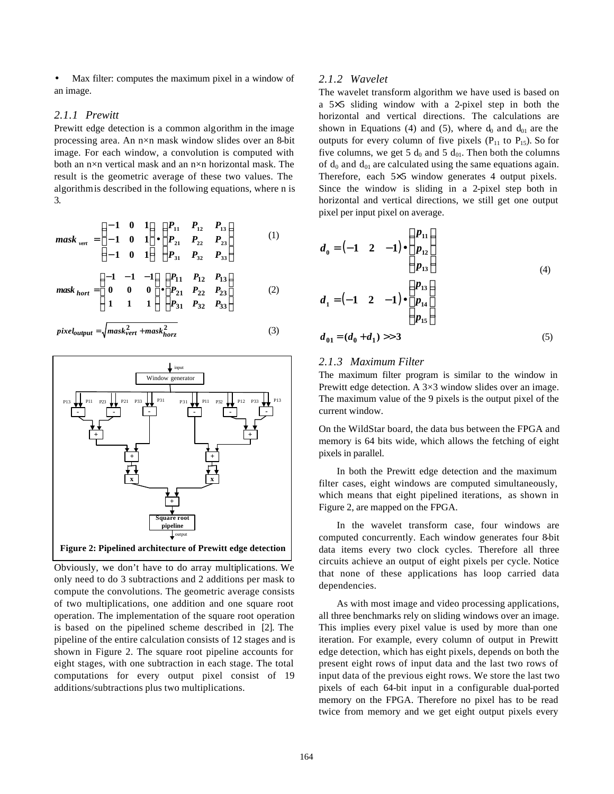Max filter: computes the maximum pixel in a window of an image.

#### *2.1.1 Prewitt*

Prewitt edge detection is a common algorithm in the image processing area. An n×n mask window slides over an 8-bit image. For each window, a convolution is computed with both an n×n vertical mask and an n×n horizontal mask. The result is the geometric average of these two values. The algorithm is described in the following equations, where n is 3.

$$
mask_{vert} = \frac{\overset{\text{def}}{\mathbf{e}}}{\underset{\text{of}}{\mathbf{e}}} 1 \quad 0 \quad 1 \overset{\text{d}}{\underset{\text{of}}{\mathbf{e}}} \quad \overset{\text{def}}{\underset{\text{of}}{\mathbf{e}}} P_{11} \quad P_{12} \quad P_{13} \overset{\text{d}}{\underset{\text{of}}{\mathbf{e}}} \\ P_{13} \overset{\text{d}}{\underset{\text{of}}{\mathbf{e}}} \tag{1} \\ \text{g} \quad 1 \quad 0 \quad 1 \overset{\text{d}}{\underset{\text{of}}{\mathbf{e}}} \quad \overset{\text{def}}{\underset{\text{of}}{\mathbf{e}}} P_{31} \quad P_{32} \quad P_{23} \overset{\text{d}}{\underset{\text{of}}{\mathbf{e}}} \tag{1}
$$

$$
mask_{hort} = \begin{matrix} \n\mathbf{ae} & 1 & -1 & -1 & \n\mathbf{de} & \mathbf{ae} & 1_1 & P_{12} & P_{13} & \n\mathbf{e} & \n\mathbf{e} & \mathbf{e} & \n\mathbf{e} & \n\mathbf{e} & \n\mathbf{e} & \n\mathbf{e} & \n\mathbf{e} & \n\mathbf{e} & \n\mathbf{e} & \n\mathbf{e} & \n\mathbf{e} & \n\mathbf{e} & \n\mathbf{e} & \n\mathbf{e} & \n\mathbf{e} & \n\mathbf{e} & \n\mathbf{e} & \n\mathbf{e} & \n\mathbf{e} & \n\mathbf{e} & \n\mathbf{e} & \n\mathbf{e} & \n\mathbf{e} & \n\mathbf{e} & \n\mathbf{e} & \n\mathbf{e} & \n\mathbf{e} & \n\mathbf{e} & \n\mathbf{e} & \n\mathbf{e} & \n\mathbf{e} & \n\mathbf{e} & \n\mathbf{e} & \n\mathbf{e} & \n\mathbf{e} & \n\mathbf{e} & \n\mathbf{e} & \n\mathbf{e} & \n\mathbf{e} & \n\mathbf{e} & \n\mathbf{e} & \n\mathbf{e} & \n\mathbf{e} & \n\mathbf{e} & \n\mathbf{e} & \n\mathbf{e} & \n\mathbf{e} & \n\mathbf{e} & \n\mathbf{e} & \n\mathbf{e} & \n\mathbf{e} & \n\mathbf{e} & \n\mathbf{e} & \n\mathbf{e} & \n\mathbf{e} & \n\mathbf{e} & \n\mathbf{e} & \n\mathbf{e} & \n\mathbf{e} & \n\mathbf{e} & \n\mathbf{e} &
$$

$$
pixel_{output} = \sqrt{mask_{vert}^2 + mask_{horz}^2}
$$
 (3)



Obviously, we don't have to do array multiplications. We only need to do 3 subtractions and 2 additions per mask to compute the convolutions. The geometric average consists of two multiplications, one addition and one square root operation. The implementation of the square root operation is based on the pipelined scheme described in [2]. The pipeline of the entire calculation consists of 12 stages and is shown in Figure 2. The square root pipeline accounts for eight stages, with one subtraction in each stage. The total computations for every output pixel consist of 19 additions/subtractions plus two multiplications.

#### *2.1.2 Wavelet*

The wavelet transform algorithm we have used is based on a 5×5 sliding window with a 2-pixel step in both the horizontal and vertical directions. The calculations are shown in Equations (4) and (5), where  $d_0$  and  $d_{01}$  are the outputs for every column of five pixels ( $P_{11}$  to  $P_{15}$ ). So for five columns, we get 5  $d_0$  and 5  $d_{01}$ . Then both the columns of  $d_0$  and  $d_{01}$  are calculated using the same equations again. Therefore, each 5×5 window generates 4 output pixels. Since the window is sliding in a 2-pixel step both in horizontal and vertical directions, we still get one output pixel per input pixel on average.

$$
d_0 = \begin{pmatrix} -1 & 2 & -1 \end{pmatrix} \cdot \begin{pmatrix} \frac{2\mathbf{p}}{\mathbf{p}} & \frac{2\mathbf{p}}{\mathbf{p}} \\ \frac{2\mathbf{p}}{\mathbf{p}} & \frac{2\mathbf{p}}{\mathbf{p}} \end{pmatrix}
$$
  
\n
$$
d_1 = \begin{pmatrix} -1 & 2 & -1 \end{pmatrix} \cdot \begin{pmatrix} \frac{2\mathbf{p}}{\mathbf{p}} & \frac{2\mathbf{p}}{\mathbf{p}} \\ \frac{2\mathbf{p}}{\mathbf{p}} & \frac{2\mathbf{p}}{\mathbf{p}} \end{pmatrix}
$$
  
\n
$$
d_{01} = (d_0 + d_1) >> 3
$$
 (5)

#### *2.1.3 Maximum Filter*

The maximum filter program is similar to the window in Prewitt edge detection. A  $3\times3$  window slides over an image. The maximum value of the 9 pixels is the output pixel of the current window.

On the WildStar board, the data bus between the FPGA and memory is 64 bits wide, which allows the fetching of eight pixels in parallel.

In both the Prewitt edge detection and the maximum filter cases, eight windows are computed simultaneously, which means that eight pipelined iterations, as shown in Figure 2, are mapped on the FPGA.

In the wavelet transform case, four windows are computed concurrently. Each window generates four 8-bit data items every two clock cycles. Therefore all three circuits achieve an output of eight pixels per cycle. Notice that none of these applications has loop carried data dependencies.

As with most image and video processing applications, all three benchmarks rely on sliding windows over an image. This implies every pixel value is used by more than one iteration. For example, every column of output in Prewitt edge detection, which has eight pixels, depends on both the present eight rows of input data and the last two rows of input data of the previous eight rows. We store the last two pixels of each 64-bit input in a configurable dual-ported memory on the FPGA. Therefore no pixel has to be read twice from memory and we get eight output pixels every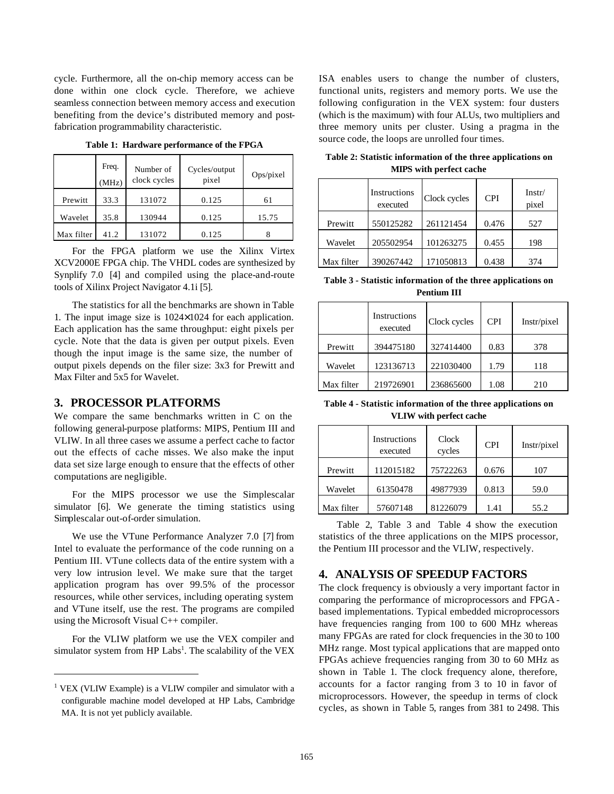cycle. Furthermore, all the on-chip memory access can be done within one clock cycle. Therefore, we achieve seamless connection between memory access and execution benefiting from the device's distributed memory and postfabrication programmability characteristic.

|            | Freq.<br>(MHz) | Number of<br>clock cycles | Cycles/output<br>pixel | Ops/pixel |
|------------|----------------|---------------------------|------------------------|-----------|
| Prewitt    | 33.3           | 131072                    | 0.125                  | 61        |
| Wavelet    | 35.8           | 130944                    | 0.125                  | 15.75     |
| Max filter | 41.2           | 131072                    | 0.125                  |           |

**Table 1: Hardware performance of the FPGA**

For the FPGA platform we use the Xilinx Virtex XCV2000E FPGA chip. The VHDL codes are synthesized by Synplify 7.0 [4] and compiled using the place-and-route tools of Xilinx Project Navigator 4.1i [5].

The statistics for all the benchmarks are shown in Table 1. The input image size is 1024×1024 for each application. Each application has the same throughput: eight pixels per cycle. Note that the data is given per output pixels. Even though the input image is the same size, the number of output pixels depends on the filer size: 3x3 for Prewitt and Max Filter and 5x5 for Wavelet.

# **3. PROCESSOR PLATFORMS**

We compare the same benchmarks written in C on the following general-purpose platforms: MIPS, Pentium III and VLIW. In all three cases we assume a perfect cache to factor out the effects of cache misses. We also make the input data set size large enough to ensure that the effects of other computations are negligible.

For the MIPS processor we use the Simplescalar simulator [6]. We generate the timing statistics using Simplescalar out-of-order simulation.

We use the VTune Performance Analyzer 7.0 [7] from Intel to evaluate the performance of the code running on a Pentium III. VTune collects data of the entire system with a very low intrusion level. We make sure that the target application program has over 99.5% of the processor resources, while other services, including operating system and VTune itself, use the rest. The programs are compiled using the Microsoft Visual C++ compiler.

For the VLIW platform we use the VEX compiler and simulator system from HP Labs<sup>1</sup>. The scalability of the VEX

l

ISA enables users to change the number of clusters, functional units, registers and memory ports. We use the following configuration in the VEX system: four dusters (which is the maximum) with four ALUs, two multipliers and three memory units per cluster. Using a pragma in the source code, the loops are unrolled four times.

|            | Instructions<br>executed | Clock cycles | <b>CPI</b> | Instr/<br>pixel |
|------------|--------------------------|--------------|------------|-----------------|
| Prewitt    | 550125282                | 261121454    | 0.476      | 527             |
| Wavelet    | 205502954                | 101263275    | 0.455      | 198             |
| Max filter | 390267442                | 171050813    | 0.438      | 374             |

**Table 2: Statistic information of the three applications on MIPS with perfect cache**

| Table 3 - Statistic information of the three applications on |
|--------------------------------------------------------------|
| <b>Pentium III</b>                                           |

|            | Instructions<br>executed | Clock cycles | <b>CPI</b> | Instr/pixel |
|------------|--------------------------|--------------|------------|-------------|
| Prewitt    | 394475180                | 327414400    | 0.83       | 378         |
| Wavelet    | 123136713                | 221030400    | 1.79       | 118         |
| Max filter | 219726901                | 236865600    | 1.08       | 210         |

**Table 4 - Statistic information of the three applications on VLIW with perfect cache**

|            | Instructions<br>executed | Clock<br>cycles | <b>CPI</b> | Instr/pixel |
|------------|--------------------------|-----------------|------------|-------------|
| Prewitt    | 112015182                | 75722263        | 0.676      | 107         |
| Wavelet    | 61350478                 | 49877939        | 0.813      | 59.0        |
| Max filter | 57607148                 | 81226079        | 1.41       | 55.2        |

Table 2, Table 3 and Table 4 show the execution statistics of the three applications on the MIPS processor, the Pentium III processor and the VLIW, respectively.

# **4. ANALYSIS OF SPEEDUP FACTORS**

The clock frequency is obviously a very important factor in comparing the performance of microprocessors and FPGA based implementations. Typical embedded microprocessors have frequencies ranging from 100 to 600 MHz whereas many FPGAs are rated for clock frequencies in the 30 to 100 MHz range. Most typical applications that are mapped onto FPGAs achieve frequencies ranging from 30 to 60 MHz as shown in Table 1. The clock frequency alone, therefore, accounts for a factor ranging from 3 to 10 in favor of microprocessors. However, the speedup in terms of clock cycles, as shown in Table 5, ranges from 381 to 2498. This

<sup>&</sup>lt;sup>1</sup> VEX (VLIW Example) is a VLIW compiler and simulator with a configurable machine model developed at HP Labs, Cambridge MA. It is not yet publicly available.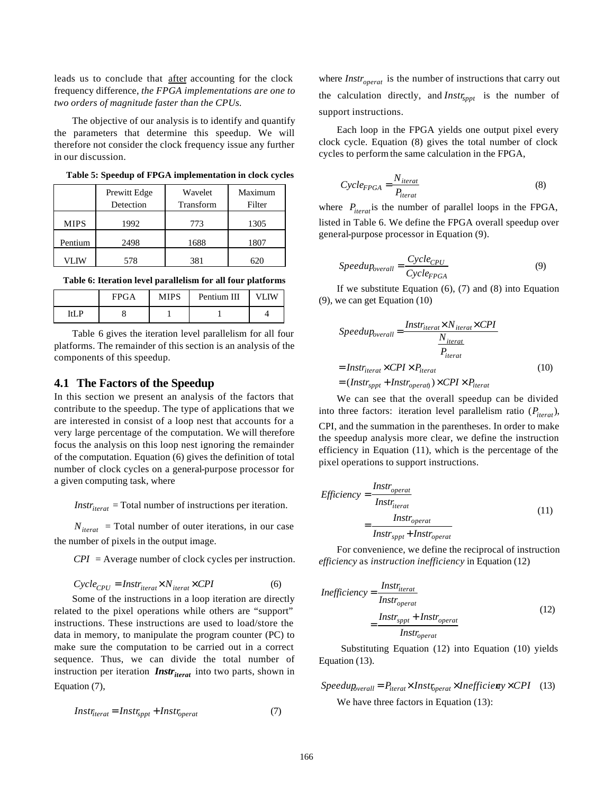leads us to conclude that after accounting for the clock frequency difference, *the FPGA implementations are one to two orders of magnitude faster than the CPUs.*

The objective of our analysis is to identify and quantify the parameters that determine this speedup. We will therefore not consider the clock frequency issue any further in our discussion.

|             | Prewitt Edge<br>Detection | Wavelet<br>Transform | Maximum<br>Filter |
|-------------|---------------------------|----------------------|-------------------|
| <b>MIPS</b> | 1992                      | 773                  | 1305              |
| Pentium     | 2498                      | 1688                 | 1807              |
| VLIW        | 578                       | 381                  | 620               |

**Table 5: Speedup of FPGA implementation in clock cycles**

|       | <b>FPGA</b> | MIPS | Pentium III |  |
|-------|-------------|------|-------------|--|
| T+T D |             |      |             |  |

Table 6 gives the iteration level parallelism for all four platforms. The remainder of this section is an analysis of the components of this speedup.

#### **4.1 The Factors of the Speedup**

In this section we present an analysis of the factors that contribute to the speedup. The type of applications that we are interested in consist of a loop nest that accounts for a very large percentage of the computation. We will therefore focus the analysis on this loop nest ignoring the remainder of the computation. Equation (6) gives the definition of total number of clock cycles on a general-purpose processor for a given computing task, where

 $Instr_{iterat}$  = Total number of instructions per iteration.

 $N<sub>iterat</sub>$  = Total number of outer iterations, in our case the number of pixels in the output image.

*CPI* = Average number of clock cycles per instruction.

$$
Cycle_{CPU} = Instr_{iterat} \times N_{iterat} \times CPI
$$
 (6)

Some of the instructions in a loop iteration are directly related to the pixel operations while others are "support" instructions. These instructions are used to load/store the data in memory, to manipulate the program counter (PC) to make sure the computation to be carried out in a correct sequence. Thus, we can divide the total number of instruction per iteration *Instr<sub>iterat</sub>* into two parts, shown in Equation (7),

$$
Instr_{iterat} = Instr_{sppt} + Instr_{operator} \tag{7}
$$

where  $Instr_{\text{operator}}$  is the number of instructions that carry out the calculation directly, and *Instr<sub>sppt</sub>* is the number of support instructions.

Each loop in the FPGA yields one output pixel every clock cycle. Equation (8) gives the total number of clock cycles to perform the same calculation in the FPGA,

$$
Cycle_{FPGA} = \frac{N_{iterat}}{P_{iterat}}
$$
\n(8)

where  $P_{\text{iterat}}$  is the number of parallel loops in the FPGA, listed in Table 6. We define the FPGA overall speedup over general-purpose processor in Equation (9).

$$
Speedup_{overall} = \frac{Cycle_{CPU}}{Cycle_{FPGA}} \tag{9}
$$

If we substitute Equation  $(6)$ ,  $(7)$  and  $(8)$  into Equation (9), we can get Equation (10)

$$
Speedup_{overall} = \frac{Instr_{iterat} \times N_{iterat} \times CPU}{P_{iterat}}
$$

$$
= Instr_{iterat} \times CPU \times P_{iterat}
$$

$$
= (Instr_{sppt} + Instr_{operat}) \times CPU \times P_{iterat}
$$
(10)

We can see that the overall speedup can be divided into three factors: iteration level parallelism ratio  $(P_{\text{iterat}})$ , CPI, and the summation in the parentheses. In order to make the speedup analysis more clear, we define the instruction efficiency in Equation (11), which is the percentage of the pixel operations to support instructions.

$$
Efficiency = \frac{Instr_{operator}}{Instr_{iterat}} = \frac{Instr_{operator}}{Instr_{operator}} \tag{11}
$$
\n
$$
= \frac{Instr_{operator}}{Instr_{spt} + Instr_{operator}}
$$

For convenience, we define the reciprocal of instruction *efficiency* as *instruction inefficiency* in Equation (12)

$$
Inefficiency = \frac{Instr_{iterat}}{Instr_{openat}} = \frac{Instr_{sppt} + Instr_{openat}}{Instr_{openat}}
$$
(12)

 Substituting Equation (12) into Equation (10) yields Equation (13).

 $Speedup_{overall} = P_{iterat} \times Inst_{operator \times Inefficiency} \times CPI$  (13) We have three factors in Equation (13):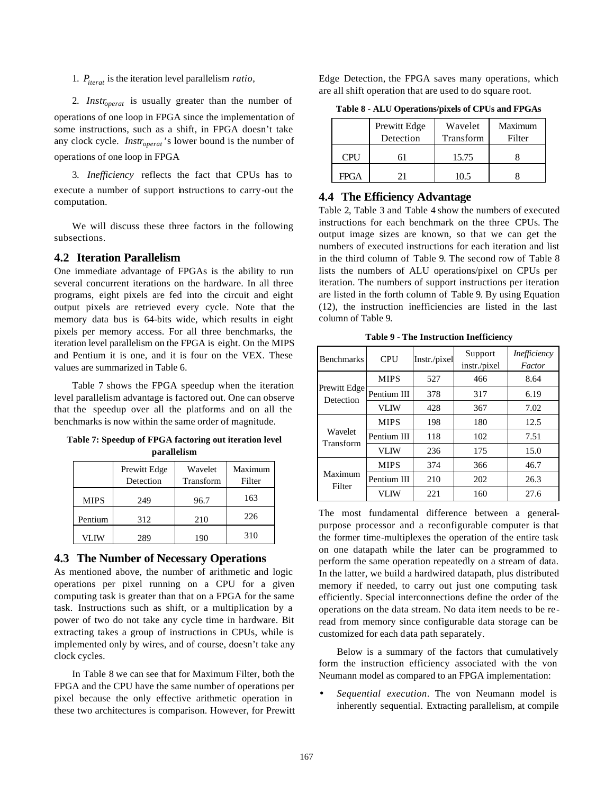1. *Piterat* is the iteration level parallelism *ratio*,

2. *Instr<sub>operat</sub>* is usually greater than the number of operations of one loop in FPGA since the implementation of some instructions, such as a shift, in FPGA doesn't take any clock cycle. *Instr<sub>operat</sub>*'s lower bound is the number of operations of one loop in FPGA

3. *Inefficiency* reflects the fact that CPUs has to execute a number of support instructions to carry-out the computation.

We will discuss these three factors in the following subsections.

#### **4.2 Iteration Parallelism**

One immediate advantage of FPGAs is the ability to run several concurrent iterations on the hardware. In all three programs, eight pixels are fed into the circuit and eight output pixels are retrieved every cycle. Note that the memory data bus is 64-bits wide, which results in eight pixels per memory access. For all three benchmarks, the iteration level parallelism on the FPGA is eight. On the MIPS and Pentium it is one, and it is four on the VEX. These values are summarized in Table 6.

Table 7 shows the FPGA speedup when the iteration level parallelism advantage is factored out. One can observe that the speedup over all the platforms and on all the benchmarks is now within the same order of magnitude.

**Table 7: Speedup of FPGA factoring out iteration level parallelism**

|             | Prewitt Edge<br>Detection | Wavelet<br>Transform | Maximum<br>Filter |
|-------------|---------------------------|----------------------|-------------------|
| <b>MIPS</b> | 249                       | 96.7                 | 163               |
| Pentium     | 312                       | 210                  | 226               |
| VLIW        | 289                       | 190                  | 310               |

#### **4.3 The Number of Necessary Operations**

As mentioned above, the number of arithmetic and logic operations per pixel running on a CPU for a given computing task is greater than that on a FPGA for the same task. Instructions such as shift, or a multiplication by a power of two do not take any cycle time in hardware. Bit extracting takes a group of instructions in CPUs, while is implemented only by wires, and of course, doesn't take any clock cycles.

In Table 8 we can see that for Maximum Filter, both the FPGA and the CPU have the same number of operations per pixel because the only effective arithmetic operation in these two architectures is comparison. However, for Prewitt Edge Detection, the FPGA saves many operations, which are all shift operation that are used to do square root.

**Table 8 - ALU Operations/pixels of CPUs and FPGAs**

|             | Prewitt Edge<br>Detection | Wavelet<br>Transform | Maximum<br>Filter |
|-------------|---------------------------|----------------------|-------------------|
| <b>CPU</b>  |                           | 15.75                |                   |
| <b>FPGA</b> |                           | 10.5                 |                   |

#### **4.4 The Efficiency Advantage**

Table 2, Table 3 and Table 4 show the numbers of executed instructions for each benchmark on the three CPUs. The output image sizes are known, so that we can get the numbers of executed instructions for each iteration and list in the third column of Table 9. The second row of Table 8 lists the numbers of ALU operations/pixel on CPUs per iteration. The numbers of support instructions per iteration are listed in the forth column of Table 9. By using Equation (12), the instruction inefficiencies are listed in the last column of Table 9.

**Table 9 - The Instruction Inefficiency**

| <b>Benchmarks</b>         | <b>CPU</b>  | Instr./pixel | Support<br>instr./pixel | Inefficiency<br>Factor |
|---------------------------|-------------|--------------|-------------------------|------------------------|
|                           | <b>MIPS</b> | 527          | 466                     | 8.64                   |
| Prewitt Edge<br>Detection | Pentium III | 378          | 317                     | 6.19                   |
|                           | <b>VLIW</b> | 428          | 367                     | 7.02                   |
|                           | <b>MIPS</b> | 198          | 180                     | 12.5                   |
| Wavelet<br>Transform      | Pentium III | 118          | 102                     | 7.51                   |
|                           | <b>VLIW</b> | 236          | 175                     | 15.0                   |
|                           | <b>MIPS</b> | 374          | 366                     | 46.7                   |
| Maximum                   | Pentium III | 210          | 202                     | 26.3                   |
| Filter                    | <b>VLIW</b> | 221          | 160                     | 27.6                   |

The most fundamental difference between a generalpurpose processor and a reconfigurable computer is that the former time-multiplexes the operation of the entire task on one datapath while the later can be programmed to perform the same operation repeatedly on a stream of data. In the latter, we build a hardwired datapath, plus distributed memory if needed, to carry out just one computing task efficiently. Special interconnections define the order of the operations on the data stream. No data item needs to be reread from memory since configurable data storage can be customized for each data path separately.

Below is a summary of the factors that cumulatively form the instruction efficiency associated with the von Neumann model as compared to an FPGA implementation:

• *Sequential execution*. The von Neumann model is inherently sequential. Extracting parallelism, at compile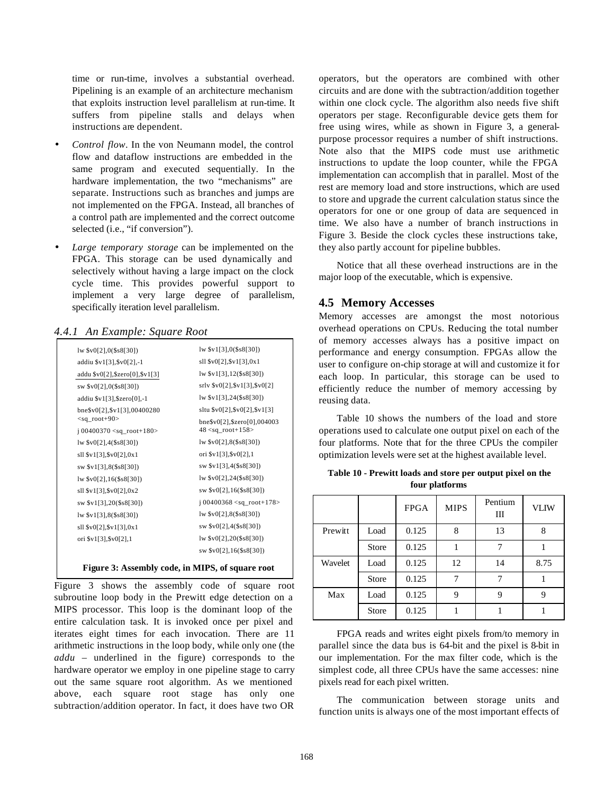time or run-time, involves a substantial overhead. Pipelining is an example of an architecture mechanism that exploits instruction level parallelism at run-time. It suffers from pipeline stalls and delays when instructions are dependent.

- *Control flow*. In the von Neumann model, the control flow and dataflow instructions are embedded in the same program and executed sequentially. In the hardware implementation, the two "mechanisms" are separate. Instructions such as branches and jumps are not implemented on the FPGA. Instead, all branches of a control path are implemented and the correct outcome selected (i.e., "if conversion").
- Large temporary storage can be implemented on the FPGA. This storage can be used dynamically and selectively without having a large impact on the clock cycle time. This provides powerful support to implement a very large degree of parallelism, specifically iteration level parallelism.

#### *4.4.1 An Example: Square Root*

|                                             | lw \$v1[3],0(\$s8[30])                 |
|---------------------------------------------|----------------------------------------|
| addiu \$v1[3], \$v0[2], -1                  | sll \$v0[2], \$v1[3], 0x1              |
| addu \$v0[2], \$zero[0], \$v1[3]            | $\frac{1}{2}$ [3], 12(\$s8[30])        |
| sw \$v0[2],0(\$s8[30])                      | srlv \$v0[2], \$v1[3], \$v0[2]         |
| addiu \$v1[3], \$zero[0], -1                | $\frac{1}{2}$ [w \$v1[3], 24(\$s8[30]) |
| bne\$v0[2],\$v1[3],00400280                 | sltu \$v0[2], \$v0[2], \$v1[3]         |
| $<$ sq_root+90>                             | bne\$v0[2],\$zero[0],004003            |
| j 00400370 <sq_root+180></sq_root+180>      | $48 <$ sq_root+158>                    |
| 1w \$v0[2], 4 (\$s8[30])                    | 1w \$v0[2], 8 (\$s8[30])               |
| $s11$ \$v1[3], \$v0[2], 0x1                 | ori \$v1[3], \$v0[2], 1                |
| sw \$v1[3],8(\$s8[30])                      | sw \$v1[3],4(\$s8[30])                 |
|                                             |                                        |
| $s11$ \$v1[3], \$v0[2], 0x2                 | $sw$ \$v0[2], 16(\$s8[30])             |
| sw \$v1[3], 20(\$s8[30])                    | j 00400368 <sq_root+178></sq_root+178> |
|                                             |                                        |
| $s11$ $s\sqrt{2}$ , $s\sqrt{1}$ $3$ , $0x1$ | $sw$ \$v0[2], 4(\$s8[30])              |
| ori \$v1[3], \$v0[2], 1                     |                                        |
|                                             | $sw$ \$v0[2], 16(\$s8[30])             |

# **Figure 3: Assembly code, in MIPS, of square root**

Figure 3 shows the assembly code of square root subroutine loop body in the Prewitt edge detection on a MIPS processor. This loop is the dominant loop of the entire calculation task. It is invoked once per pixel and iterates eight times for each invocation. There are 11 arithmetic instructions in the loop body, while only one (the *addu* – underlined in the figure) corresponds to the hardware operator we employ in one pipeline stage to carry out the same square root algorithm. As we mentioned above, each square root stage has only one subtraction/addition operator. In fact, it does have two OR

operators, but the operators are combined with other circuits and are done with the subtraction/addition together within one clock cycle. The algorithm also needs five shift operators per stage. Reconfigurable device gets them for free using wires, while as shown in Figure 3, a generalpurpose processor requires a number of shift instructions. Note also that the MIPS code must use arithmetic instructions to update the loop counter, while the FPGA implementation can accomplish that in parallel. Most of the rest are memory load and store instructions, which are used to store and upgrade the current calculation status since the operators for one or one group of data are sequenced in time. We also have a number of branch instructions in Figure 3. Beside the clock cycles these instructions take, they also partly account for pipeline bubbles.

Notice that all these overhead instructions are in the major loop of the executable, which is expensive.

#### **4.5 Memory Accesses**

Memory accesses are amongst the most notorious overhead operations on CPUs. Reducing the total number of memory accesses always has a positive impact on performance and energy consumption. FPGAs allow the user to configure on-chip storage at will and customize it for each loop. In particular, this storage can be used to efficiently reduce the number of memory accessing by reusing data.

Table 10 shows the numbers of the load and store operations used to calculate one output pixel on each of the four platforms. Note that for the three CPUs the compiler optimization levels were set at the highest available level.

|         |              | <b>FPGA</b> | <b>MIPS</b> | Pentium<br>Ш | <b>VLIW</b> |
|---------|--------------|-------------|-------------|--------------|-------------|
| Prewitt | Load         | 0.125       | 8           | 13           | 8           |
|         | <b>Store</b> | 0.125       |             | 7            |             |
| Wavelet | Load         | 0.125       | 12          | 14           | 8.75        |
|         | <b>Store</b> | 0.125       | 7           | 7            |             |
| Max     | Load         | 0.125       | 9           | 9            | 9           |
|         | <b>Store</b> | 0.125       |             |              |             |

**Table 10 - Prewitt loads and store per output pixel on the four platforms**

FPGA reads and writes eight pixels from/to memory in parallel since the data bus is 64-bit and the pixel is 8-bit in our implementation. For the max filter code, which is the simplest code, all three CPUs have the same accesses: nine pixels read for each pixel written.

The communication between storage units and function units is always one of the most important effects of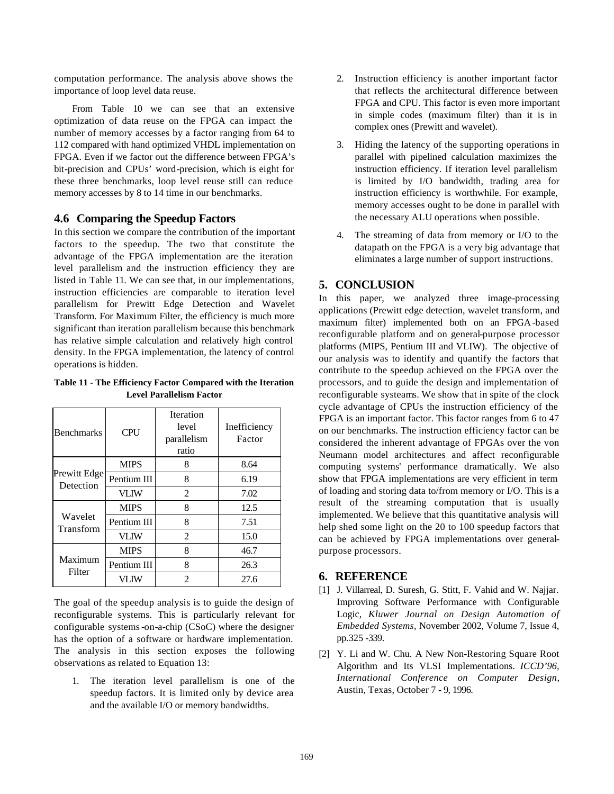computation performance. The analysis above shows the importance of loop level data reuse.

From Table 10 we can see that an extensive optimization of data reuse on the FPGA can impact the number of memory accesses by a factor ranging from 64 to 112 compared with hand optimized VHDL implementation on FPGA. Even if we factor out the difference between FPGA's bit-precision and CPUs' word-precision, which is eight for these three benchmarks, loop level reuse still can reduce memory accesses by 8 to 14 time in our benchmarks.

#### **4.6 Comparing the Speedup Factors**

In this section we compare the contribution of the important factors to the speedup. The two that constitute the advantage of the FPGA implementation are the iteration level parallelism and the instruction efficiency they are listed in Table 11. We can see that, in our implementations, instruction efficiencies are comparable to iteration level parallelism for Prewitt Edge Detection and Wavelet Transform. For Maximum Filter, the efficiency is much more significant than iteration parallelism because this benchmark has relative simple calculation and relatively high control density. In the FPGA implementation, the latency of control operations is hidden.

**Table 11 - The Efficiency Factor Compared with the Iteration Level Parallelism Factor**

| <b>Benchmarks</b>         | <b>CPU</b>  | <b>Iteration</b><br>level<br>parallelism<br>ratio | Inefficiency<br>Factor |
|---------------------------|-------------|---------------------------------------------------|------------------------|
|                           | <b>MIPS</b> | 8                                                 | 8.64                   |
| Prewitt Edge<br>Detection | Pentium III | 8                                                 | 6.19                   |
|                           | <b>VLIW</b> | $\overline{c}$                                    | 7.02                   |
|                           | <b>MIPS</b> | 8                                                 | 12.5                   |
| Wavelet<br>Transform      | Pentium III | 8                                                 | 7.51                   |
|                           | <b>VLIW</b> | 2                                                 | 15.0                   |
|                           | <b>MIPS</b> | 8                                                 | 46.7                   |
| Maximum<br>Filter         | Pentium III | 8                                                 | 26.3                   |
|                           | VLIW        | $\mathfrak{D}$                                    | 27.6                   |

The goal of the speedup analysis is to guide the design of reconfigurable systems. This is particularly relevant for configurable systems-on-a-chip (CSoC) where the designer has the option of a software or hardware implementation. The analysis in this section exposes the following observations as related to Equation 13:

1. The iteration level parallelism is one of the speedup factors. It is limited only by device area and the available I/O or memory bandwidths.

- 2. Instruction efficiency is another important factor that reflects the architectural difference between FPGA and CPU. This factor is even more important in simple codes (maximum filter) than it is in complex ones (Prewitt and wavelet).
- 3. Hiding the latency of the supporting operations in parallel with pipelined calculation maximizes the instruction efficiency. If iteration level parallelism is limited by I/O bandwidth, trading area for instruction efficiency is worthwhile. For example, memory accesses ought to be done in parallel with the necessary ALU operations when possible.
- 4. The streaming of data from memory or I/O to the datapath on the FPGA is a very big advantage that eliminates a large number of support instructions.

# **5. CONCLUSION**

In this paper, we analyzed three image-processing applications (Prewitt edge detection, wavelet transform, and maximum filter) implemented both on an FPGA-based reconfigurable platform and on general-purpose processor platforms (MIPS, Pentium III and VLIW). The objective of our analysis was to identify and quantify the factors that contribute to the speedup achieved on the FPGA over the processors, and to guide the design and implementation of reconfigurable systeams. We show that in spite of the clock cycle advantage of CPUs the instruction efficiency of the FPGA is an important factor. This factor ranges from 6 to 47 on our benchmarks. The instruction efficiency factor can be considered the inherent advantage of FPGAs over the von Neumann model architectures and affect reconfigurable computing systems' performance dramatically. We also show that FPGA implementations are very efficient in term of loading and storing data to/from memory or I/O. This is a result of the streaming computation that is usually implemented. We believe that this quantitative analysis will help shed some light on the 20 to 100 speedup factors that can be achieved by FPGA implementations over generalpurpose processors.

# **6. REFERENCE**

- [1] J. Villarreal, D. Suresh, G. Stitt, F. Vahid and W. Najjar. Improving Software Performance with Configurable Logic, *Kluwer Journal on Design Automation of Embedded Systems,* November 2002, Volume 7, Issue 4, pp.325 -339.
- [2] Y. Li and W. Chu. A New Non-Restoring Square Root Algorithm and Its VLSI Implementations. *ICCD'96, International Conference on Computer Design*, Austin, Texas, October 7 - 9, 1996.